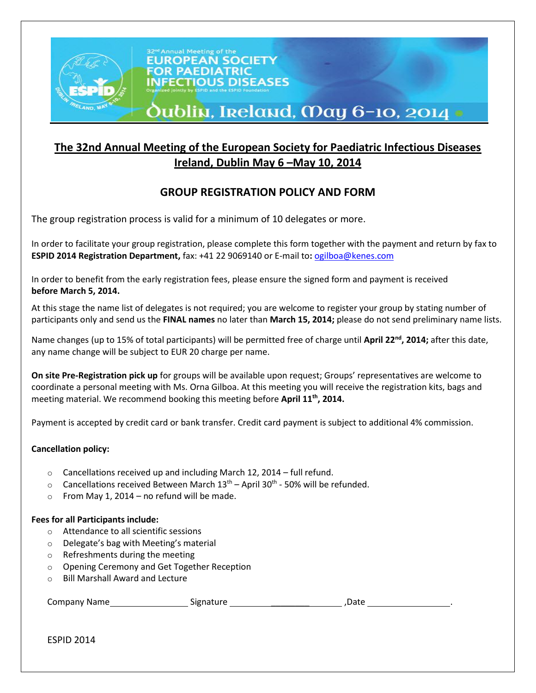

# **Oublin, Ireland, May 6-10, 2014 •**

## **The 32nd Annual Meeting of the European Society for Paediatric Infectious Diseases Ireland, Dublin May 6 –May 10, 2014**

### **GROUP REGISTRATION POLICY AND FORM**

The group registration process is valid for a minimum of 10 delegates or more.

In order to facilitate your group registration, please complete this form together with the payment and return by fax to **ESPID 2014 Registration Department,** fax: +41 22 9069140 or E-mail to**:** [ogilboa@kenes.com](mailto:ogilboa@kenes.com)

In order to benefit from the early registration fees, please ensure the signed form and payment is received **before March 5, 2014.**

At this stage the name list of delegates is not required; you are welcome to register your group by stating number of participants only and send us the **FINAL names** no later than **March 15, 2014;** please do not send preliminary name lists.

Name changes (up to 15% of total participants) will be permitted free of charge until **April 22nd , 2014;** after this date, any name change will be subject to EUR 20 charge per name.

**On site Pre-Registration pick up** for groups will be available upon request; Groups' representatives are welcome to coordinate a personal meeting with Ms. Orna Gilboa. At this meeting you will receive the registration kits, bags and meeting material. We recommend booking this meeting before **April 11th , 2014.**

Payment is accepted by credit card or bank transfer. Credit card payment is subject to additional 4% commission.

#### **Cancellation policy:**

- o Cancellations received up and including March 12, 2014 full refund.
- $\circ$  Cancellations received Between March 13<sup>th</sup> April 30<sup>th</sup> 50% will be refunded.
- $\circ$  From May 1, 2014 no refund will be made.

#### **Fees for all Participants include:**

- o Attendance to all scientific sessions
- o Delegate's bag with Meeting's material
- o Refreshments during the meeting
- o Opening Ceremony and Get Together Reception
- o Bill Marshall Award and Lecture

| <b>Company Name</b> | Signature | Date |
|---------------------|-----------|------|
|                     |           |      |

ESPID 2014